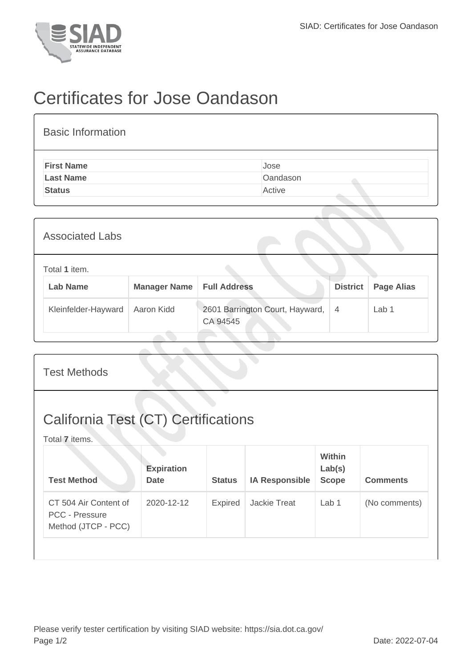

## Certificates for Jose Oandason

| <b>Basic Information</b> |          |
|--------------------------|----------|
| <b>First Name</b>        | Jose     |
| <b>Last Name</b>         | Oandason |
| <b>Status</b>            | Active   |

| <b>Associated Labs</b>           |                     |                                             |                 |                   |  |  |  |
|----------------------------------|---------------------|---------------------------------------------|-----------------|-------------------|--|--|--|
| Total 1 item.<br><b>Lab Name</b> | <b>Manager Name</b> | <b>Full Address</b>                         | <b>District</b> | <b>Page Alias</b> |  |  |  |
| Kleinfelder-Hayward              | Aaron Kidd          | 2601 Barrington Court, Hayward,<br>CA 94545 | $\overline{4}$  | Lab 1             |  |  |  |

| <b>Test Methods</b>                                                   |                                  |                |                       |                                         |                 |
|-----------------------------------------------------------------------|----------------------------------|----------------|-----------------------|-----------------------------------------|-----------------|
| <b>California Test (CT) Certifications</b><br>Total 7 items.          |                                  |                |                       |                                         |                 |
| <b>Test Method</b>                                                    | <b>Expiration</b><br><b>Date</b> | <b>Status</b>  | <b>IA Responsible</b> | <b>Within</b><br>Lab(s)<br><b>Scope</b> | <b>Comments</b> |
| CT 504 Air Content of<br><b>PCC - Pressure</b><br>Method (JTCP - PCC) | 2020-12-12                       | <b>Expired</b> | <b>Jackie Treat</b>   | Lab <sub>1</sub>                        | (No comments)   |
|                                                                       |                                  |                |                       |                                         |                 |